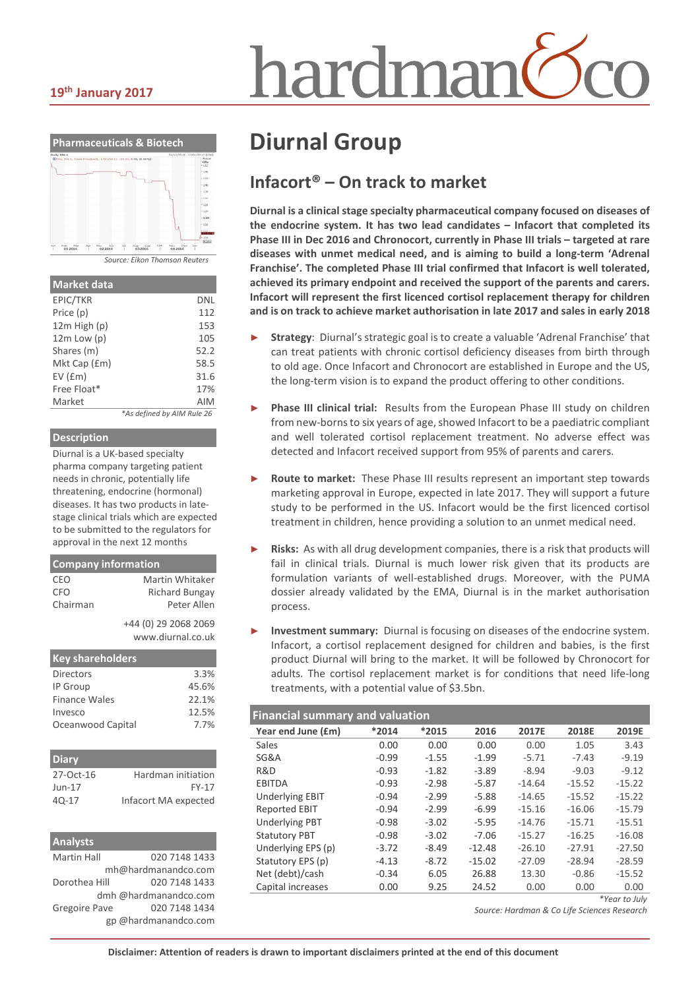#### **19th January 2017**



| <b>Market data</b> |                            |
|--------------------|----------------------------|
| EPIC/TKR           | DNL                        |
| Price (p)          | 112                        |
| $12m$ High $(p)$   | 153                        |
| $12m$ Low $(p)$    | 105                        |
| Shares (m)         | 52.2                       |
| Mkt Cap (£m)       | 58.5                       |
| EV(fm)             | 31.6                       |
| Free Float*        | 17%                        |
| Market             | <b>AIM</b>                 |
|                    | *As defined by AIM Rule 26 |

#### **Description**

Diurnal is a UK-based specialty pharma company targeting patient needs in chronic, potentially life threatening, endocrine (hormonal) diseases. It has two products in latestage clinical trials which are expected to be submitted to the regulators for approval in the next 12 months

| <b>Company information</b> |                                           |  |  |  |  |  |
|----------------------------|-------------------------------------------|--|--|--|--|--|
| CEO                        | Martin Whitaker                           |  |  |  |  |  |
| <b>CFO</b>                 | Richard Bungay                            |  |  |  |  |  |
| Chairman                   | Peter Allen                               |  |  |  |  |  |
|                            | +44 (0) 29 2068 2069<br>www.diurnal.co.uk |  |  |  |  |  |
| <b>Key shareholders</b>    |                                           |  |  |  |  |  |
| <b>Directors</b>           | 3.3%                                      |  |  |  |  |  |
|                            |                                           |  |  |  |  |  |

| <b>DILCULUIS</b>  | . <i>. .</i> 0 |
|-------------------|----------------|
| IP Group          | 45.6%          |
| Finance Wales     | 22.1%          |
| Invesco           | 12.5%          |
| Oceanwood Capital | 7.7%           |
|                   |                |

| <b>Diary</b> |                      |
|--------------|----------------------|
| 27-Oct-16    | Hardman initiation   |
| $Jun-17$     | <b>FY-17</b>         |
| $40-17$      | Infacort MA expected |

| <b>Analysts</b>    |                       |
|--------------------|-----------------------|
| <b>Martin Hall</b> | 020 7148 1433         |
|                    | mh@hardmanandco.com   |
| Dorothea Hill      | 020 7148 1433         |
|                    | dmh @hardmanandco.com |
| Gregoire Pave      | 020 7148 1434         |
|                    | gp @hardmanandco.com  |

# **Diurnal Group**

# **Infacort® – On track to market**

iardmai

**Diurnal is a clinical stage specialty pharmaceutical company focused on diseases of the endocrine system. It has two lead candidates – Infacort that completed its Phase III in Dec 2016 and Chronocort, currently in Phase III trials – targeted at rare diseases with unmet medical need, and is aiming to build a long-term 'Adrenal Franchise'. The completed Phase III trial confirmed that Infacort is well tolerated, achieved its primary endpoint and received the support of the parents and carers. Infacort will represent the first licenced cortisol replacement therapy for children and is on track to achieve market authorisation in late 2017 and sales in early 2018**

- ► **Strategy**: Diurnal's strategic goal is to create a valuable 'Adrenal Franchise' that can treat patients with chronic cortisol deficiency diseases from birth through to old age. Once Infacort and Chronocort are established in Europe and the US, the long-term vision is to expand the product offering to other conditions.
- ► **Phase III clinical trial:** Results from the European Phase III study on children from new-borns to six years of age, showed Infacort to be a paediatric compliant and well tolerated cortisol replacement treatment. No adverse effect was detected and Infacort received support from 95% of parents and carers.
- Route to market: These Phase III results represent an important step towards marketing approval in Europe, expected in late 2017. They will support a future study to be performed in the US. Infacort would be the first licenced cortisol treatment in children, hence providing a solution to an unmet medical need.
- Risks: As with all drug development companies, there is a risk that products will fail in clinical trials. Diurnal is much lower risk given that its products are formulation variants of well-established drugs. Moreover, with the PUMA dossier already validated by the EMA, Diurnal is in the market authorisation process.
- Investment summary: Diurnal is focusing on diseases of the endocrine system. Infacort, a cortisol replacement designed for children and babies, is the first product Diurnal will bring to the market. It will be followed by Chronocort for adults. The cortisol replacement market is for conditions that need life-long treatments, with a potential value of \$3.5bn.

| <b>Financial summary and valuation</b> |         |         |          |          |          |           |  |  |  |
|----------------------------------------|---------|---------|----------|----------|----------|-----------|--|--|--|
| Year end June (£m)                     | $*2014$ | *2015   | 2016     | 2017E    | 2018E    | 2019E     |  |  |  |
| Sales                                  | 0.00    | 0.00    | 0.00     | 0.00     | 1.05     | 3.43      |  |  |  |
| SG&A                                   | $-0.99$ | $-1.55$ | $-1.99$  | $-5.71$  | $-7.43$  | $-9.19$   |  |  |  |
| R&D                                    | $-0.93$ | $-1.82$ | $-3.89$  | $-8.94$  | $-9.03$  | $-9.12$   |  |  |  |
| <b>EBITDA</b>                          | $-0.93$ | $-2.98$ | $-5.87$  | $-14.64$ | $-15.52$ | $-15.22$  |  |  |  |
| <b>Underlying EBIT</b>                 | $-0.94$ | $-2.99$ | $-5.88$  | $-14.65$ | $-15.52$ | $-15.22$  |  |  |  |
| <b>Reported EBIT</b>                   | $-0.94$ | $-2.99$ | $-6.99$  | $-15.16$ | $-16.06$ | $-15.79$  |  |  |  |
| <b>Underlying PBT</b>                  | $-0.98$ | $-3.02$ | $-5.95$  | $-14.76$ | $-15.71$ | $-15.51$  |  |  |  |
| <b>Statutory PBT</b>                   | $-0.98$ | $-3.02$ | $-7.06$  | $-15.27$ | $-16.25$ | $-16.08$  |  |  |  |
| Underlying EPS (p)                     | $-3.72$ | $-8.49$ | $-12.48$ | $-26.10$ | $-27.91$ | $-27.50$  |  |  |  |
| Statutory EPS (p)                      | $-4.13$ | $-8.72$ | $-15.02$ | $-27.09$ | $-28.94$ | $-28.59$  |  |  |  |
| Net (debt)/cash                        | $-0.34$ | 6.05    | 26.88    | 13.30    | $-0.86$  | $-15.52$  |  |  |  |
| Capital increases                      | 0.00    | 9.25    | 24.52    | 0.00     | 0.00     | 0.00      |  |  |  |
|                                        |         |         |          |          |          | $*V = -1$ |  |  |  |

*\*Year to July*

*Source: Hardman & Co Life Sciences Research*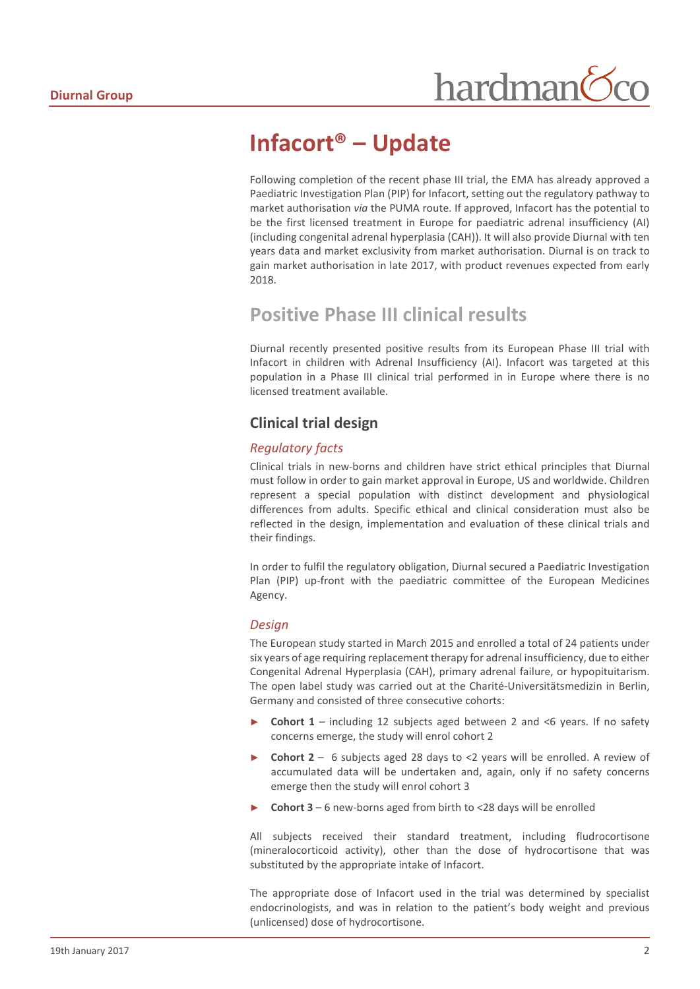# **Infacort® – Update**

Following completion of the recent phase III trial, the EMA has already approved a Paediatric Investigation Plan (PIP) for Infacort, setting out the regulatory pathway to market authorisation *via* the PUMA route. If approved, Infacort has the potential to be the first licensed treatment in Europe for paediatric adrenal insufficiency (AI) (including congenital adrenal hyperplasia (CAH)). It will also provide Diurnal with ten years data and market exclusivity from market authorisation. Diurnal is on track to gain market authorisation in late 2017, with product revenues expected from early 2018.

# **Positive Phase III clinical results**

Diurnal recently presented positive results from its European Phase III trial with Infacort in children with Adrenal Insufficiency (AI). Infacort was targeted at this population in a Phase III clinical trial performed in in Europe where there is no licensed treatment available.

# **Clinical trial design**

## *Regulatory facts*

Clinical trials in new-borns and children have strict ethical principles that Diurnal must follow in order to gain market approval in Europe, US and worldwide. Children represent a special population with distinct development and physiological differences from adults. Specific ethical and clinical consideration must also be reflected in the design, implementation and evaluation of these clinical trials and their findings.

In order to fulfil the regulatory obligation, Diurnal secured a Paediatric Investigation Plan (PIP) up-front with the paediatric committee of the European Medicines Agency.

## *Design*

The European study started in March 2015 and enrolled a total of 24 patients under six years of age requiring replacement therapy for adrenal insufficiency, due to either Congenital Adrenal Hyperplasia (CAH), primary adrenal failure, or hypopituitarism. The open label study was carried out at the Charité-Universitätsmedizin in Berlin, Germany and consisted of three consecutive cohorts:

- **Cohort 1** including 12 subjects aged between 2 and <6 years. If no safety concerns emerge, the study will enrol cohort 2
- ► **Cohort 2** 6 subjects aged 28 days to <2 years will be enrolled. A review of accumulated data will be undertaken and, again, only if no safety concerns emerge then the study will enrol cohort 3
- ► **Cohort 3** 6 new-borns aged from birth to <28 days will be enrolled

All subjects received their standard treatment, including fludrocortisone (mineralocorticoid activity), other than the dose of hydrocortisone that was substituted by the appropriate intake of Infacort.

The appropriate dose of Infacort used in the trial was determined by specialist endocrinologists, and was in relation to the patient's body weight and previous (unlicensed) dose of hydrocortisone.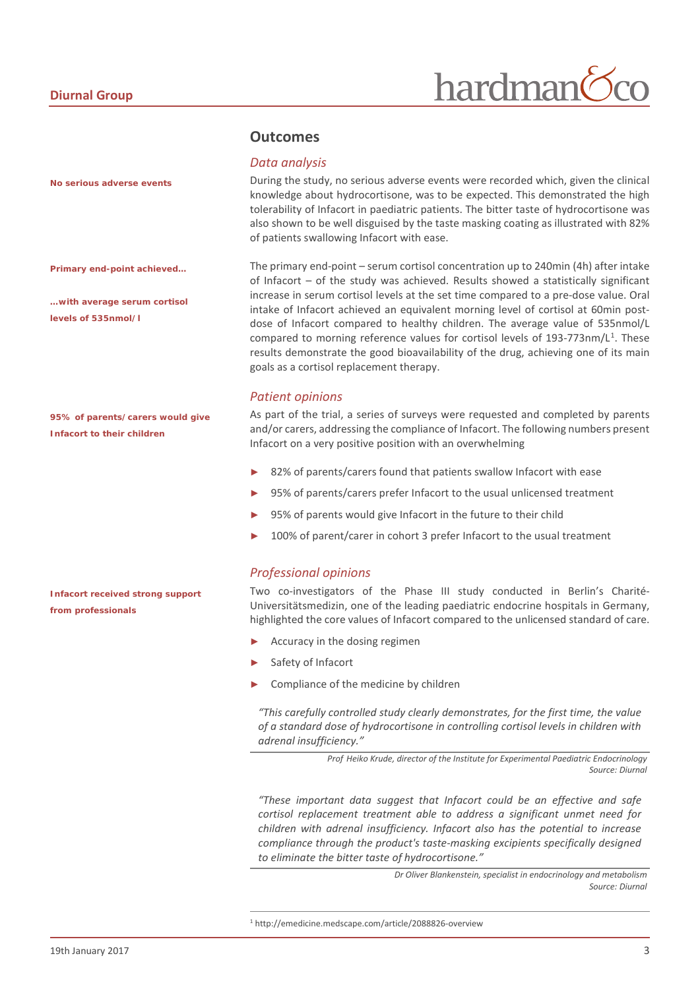*No serious adverse events*

*Primary end-point achieved…*

*…with average serum cortisol levels of 535nmol/l*

*95% of parents/carers would give Infacort to their children*

*Infacort received strong support from professionals*

## **Outcomes**

#### *Data analysis*

During the study, no serious adverse events were recorded which, given the clinical knowledge about hydrocortisone, was to be expected. This demonstrated the high tolerability of Infacort in paediatric patients. The bitter taste of hydrocortisone was also shown to be well disguised by the taste masking coating as illustrated with 82% of patients swallowing Infacort with ease.

The primary end-point – serum cortisol concentration up to 240min (4h) after intake of Infacort – of the study was achieved. Results showed a statistically significant increase in serum cortisol levels at the set time compared to a pre-dose value. Oral intake of Infacort achieved an equivalent morning level of cortisol at 60min postdose of Infacort compared to healthy children. The average value of 535nmol/L compared to morning reference values for cortisol levels of [1](#page-2-0)93-773nm/L<sup>1</sup>. These results demonstrate the good bioavailability of the drug, achieving one of its main goals as a cortisol replacement therapy.

#### *Patient opinions*

As part of the trial, a series of surveys were requested and completed by parents and/or carers, addressing the compliance of Infacort. The following numbers present Infacort on a very positive position with an overwhelming

- 82% of parents/carers found that patients swallow Infacort with ease
- 95% of parents/carers prefer Infacort to the usual unlicensed treatment
- 95% of parents would give Infacort in the future to their child
- 100% of parent/carer in cohort 3 prefer Infacort to the usual treatment

#### *Professional opinions*

Two co-investigators of the Phase III study conducted in Berlin's Charité-Universitätsmedizin, one of the leading paediatric endocrine hospitals in Germany, highlighted the core values of Infacort compared to the unlicensed standard of care.

- Accuracy in the dosing regimen
- Safety of Infacort
- Compliance of the medicine by children

*"This carefully controlled study clearly demonstrates, for the first time, the value of a standard dose of hydrocortisone in controlling cortisol levels in children with adrenal insufficiency."*

> *Prof Heiko Krude, director of the Institute for Experimental Paediatric Endocrinology Source: Diurnal*

*"These important data suggest that Infacort could be an effective and safe cortisol replacement treatment able to address a significant unmet need for children with adrenal insufficiency. Infacort also has the potential to increase compliance through the product's taste-masking excipients specifically designed to eliminate the bitter taste of hydrocortisone."*

> *Dr Oliver Blankenstein, specialist in endocrinology and metabolism Source: Diurnal*

<span id="page-2-0"></span> <sup>1</sup> http://emedicine.medscape.com/article/2088826-overview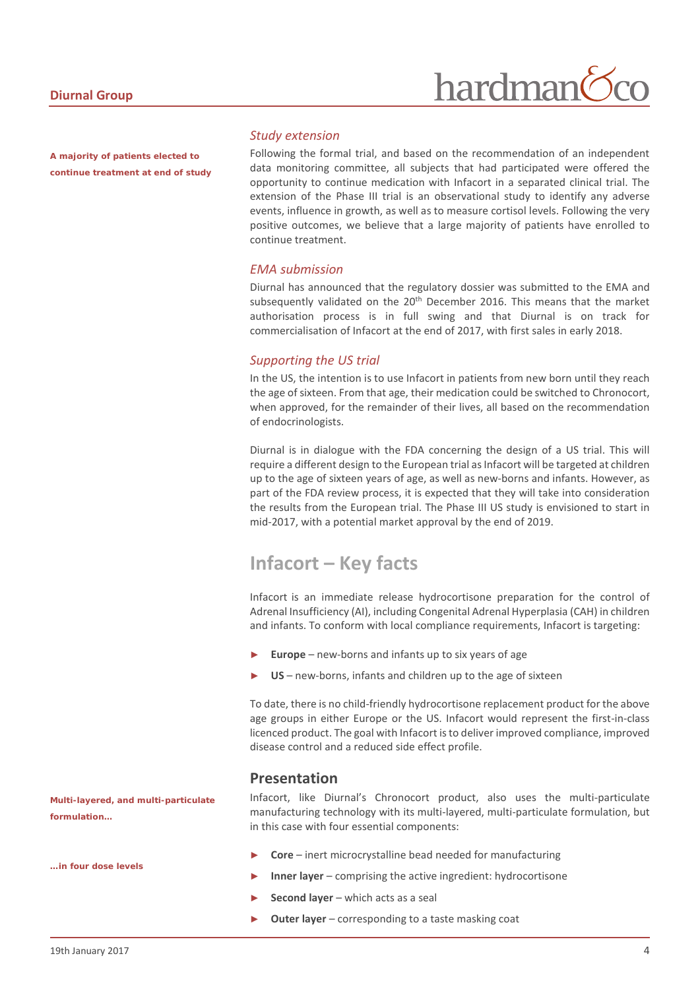*A majority of patients elected to continue treatment at end of study*

#### *Study extension*

Following the formal trial, and based on the recommendation of an independent data monitoring committee, all subjects that had participated were offered the opportunity to continue medication with Infacort in a separated clinical trial. The extension of the Phase III trial is an observational study to identify any adverse events, influence in growth, as well as to measure cortisol levels. Following the very positive outcomes, we believe that a large majority of patients have enrolled to continue treatment.

#### *EMA submission*

Diurnal has announced that the regulatory dossier was submitted to the EMA and subsequently validated on the 20<sup>th</sup> December 2016. This means that the market authorisation process is in full swing and that Diurnal is on track for commercialisation of Infacort at the end of 2017, with first sales in early 2018.

#### *Supporting the US trial*

In the US, the intention is to use Infacort in patients from new born until they reach the age of sixteen. From that age, their medication could be switched to Chronocort, when approved, for the remainder of their lives, all based on the recommendation of endocrinologists.

Diurnal is in dialogue with the FDA concerning the design of a US trial. This will require a different design to the European trial as Infacort will be targeted at children up to the age of sixteen years of age, as well as new-borns and infants. However, as part of the FDA review process, it is expected that they will take into consideration the results from the European trial. The Phase III US study is envisioned to start in mid-2017, with a potential market approval by the end of 2019.

# **Infacort – Key facts**

Infacort is an immediate release hydrocortisone preparation for the control of Adrenal Insufficiency (AI), including Congenital Adrenal Hyperplasia (CAH) in children and infants. To conform with local compliance requirements, Infacort is targeting:

- Europe new-borns and infants up to six years of age
- US new-borns, infants and children up to the age of sixteen

To date, there is no child-friendly hydrocortisone replacement product for the above age groups in either Europe or the US. Infacort would represent the first-in-class licenced product. The goal with Infacort is to deliver improved compliance, improved disease control and a reduced side effect profile.

# **Presentation**

Infacort, like Diurnal's Chronocort product, also uses the multi-particulate manufacturing technology with its multi-layered, multi-particulate formulation, but in this case with four essential components:

- ► **Core** inert microcrystalline bead needed for manufacturing
- **Inner layer** comprising the active ingredient: hydrocortisone
- ► **Second layer** which acts as a seal
- **Outer layer** corresponding to a taste masking coat

*Multi-layered, and multi-particulate formulation…*

*…in four dose levels*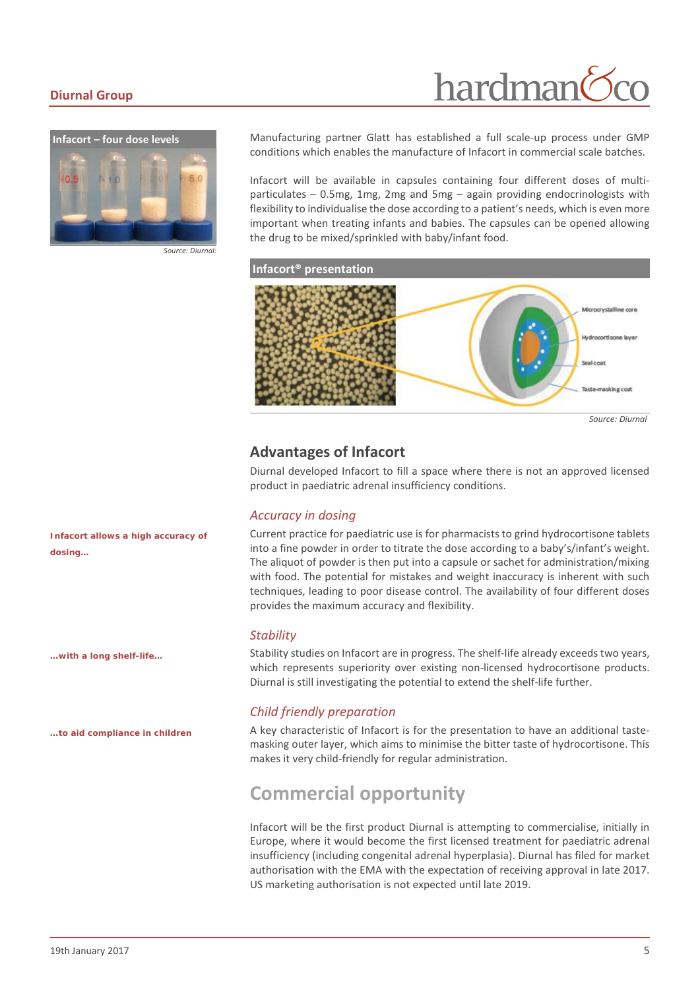#### **Diurnal Group**

# hardman



Manufacturing partner Glatt has established a full scale-up process under GMP conditions which enables the manufacture of Infacort in commercial scale batches.

Infacort will be available in capsules containing four different doses of multiparticulates – 0.5mg, 1mg, 2mg and 5mg – again providing endocrinologists with flexibility to individualise the dose according to a patient's needs, which is even more important when treating infants and babies. The capsules can be opened allowing the drug to be mixed/sprinkled with baby/infant food.



*Source: Diurnal*

# **Advantages of Infacort**

Diurnal developed Infacort to fill a space where there is not an approved licensed product in paediatric adrenal insufficiency conditions.

#### *Accuracy in dosing*

Current practice for paediatric use is for pharmacists to grind hydrocortisone tablets into a fine powder in order to titrate the dose according to a baby's/infant's weight. The aliquot of powder is then put into a capsule or sachet for administration/mixing with food. The potential for mistakes and weight inaccuracy is inherent with such techniques, leading to poor disease control. The availability of four different doses provides the maximum accuracy and flexibility.

#### *Stability*

Stability studies on Infacort are in progress. The shelf-life already exceeds two years, which represents superiority over existing non-licensed hydrocortisone products. Diurnal is still investigating the potential to extend the shelf-life further.

#### *Child friendly preparation*

A key characteristic of Infacort is for the presentation to have an additional tastemasking outer layer, which aims to minimise the bitter taste of hydrocortisone. This makes it very child-friendly for regular administration.

# **Commercial opportunity**

Infacort will be the first product Diurnal is attempting to commercialise, initially in Europe, where it would become the first licensed treatment for paediatric adrenal insufficiency (including congenital adrenal hyperplasia). Diurnal has filed for market authorisation with the EMA with the expectation of receiving approval in late 2017. US marketing authorisation is not expected until late 2019.

*Infacort allows a high accuracy of dosing…*

*…with a long shelf-life…*

*…to aid compliance in children*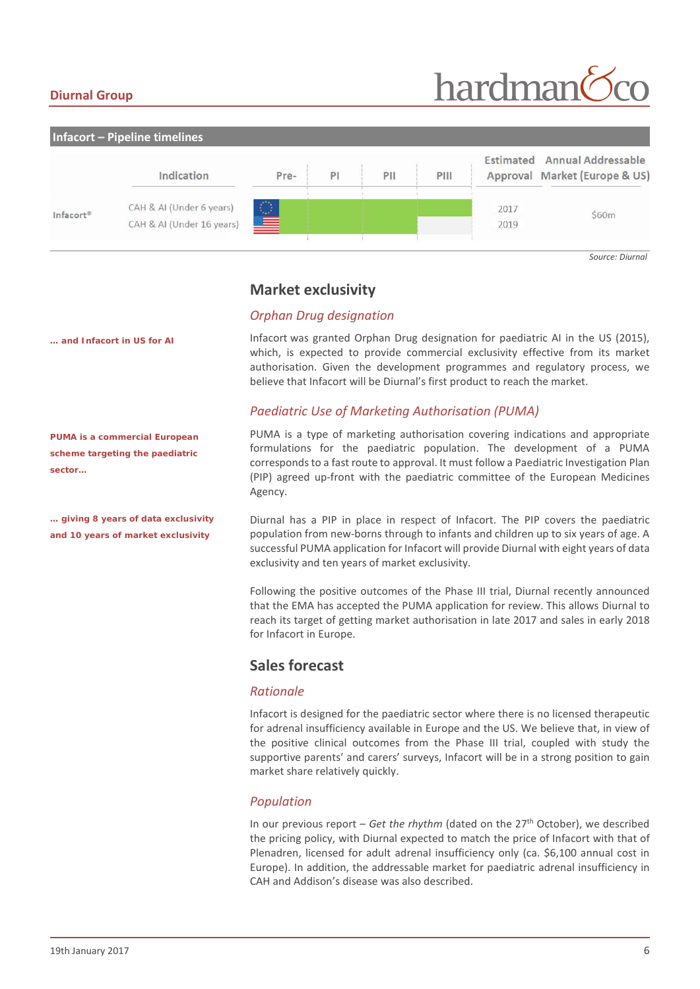## **Diurnal Group**

# hardman



*Source: Diurnal*

## **Market exclusivity**

## *Orphan Drug designation*

Infacort was granted Orphan Drug designation for paediatric AI in the US (2015), which, is expected to provide commercial exclusivity effective from its market authorisation. Given the development programmes and regulatory process, we believe that Infacort will be Diurnal's first product to reach the market.

## *Paediatric Use of Marketing Authorisation (PUMA)*

PUMA is a type of marketing authorisation covering indications and appropriate formulations for the paediatric population. The development of a PUMA corresponds to a fast route to approval. It must follow a Paediatric Investigation Plan (PIP) agreed up-front with the paediatric committee of the European Medicines Agency.

Diurnal has a PIP in place in respect of Infacort. The PIP covers the paediatric population from new-borns through to infants and children up to six years of age. A successful PUMA application for Infacort will provide Diurnal with eight years of data exclusivity and ten years of market exclusivity.

Following the positive outcomes of the Phase III trial, Diurnal recently announced that the EMA has accepted the PUMA application for review. This allows Diurnal to reach its target of getting market authorisation in late 2017 and sales in early 2018 for Infacort in Europe.

## **Sales forecast**

#### *Rationale*

Infacort is designed for the paediatric sector where there is no licensed therapeutic for adrenal insufficiency available in Europe and the US. We believe that, in view of the positive clinical outcomes from the Phase III trial, coupled with study the supportive parents' and carers' surveys, Infacort will be in a strong position to gain market share relatively quickly.

## *Population*

In our previous report – *Get the rhythm* (dated on the 27<sup>th</sup> October), we described the pricing policy, with Diurnal expected to match the price of Infacort with that of Plenadren, licensed for adult adrenal insufficiency only (ca. \$6,100 annual cost in Europe). In addition, the addressable market for paediatric adrenal insufficiency in CAH and Addison's disease was also described.

*… and Infacort in US for AI*

*PUMA is a commercial European scheme targeting the paediatric sector…*

*… giving 8 years of data exclusivity and 10 years of market exclusivity*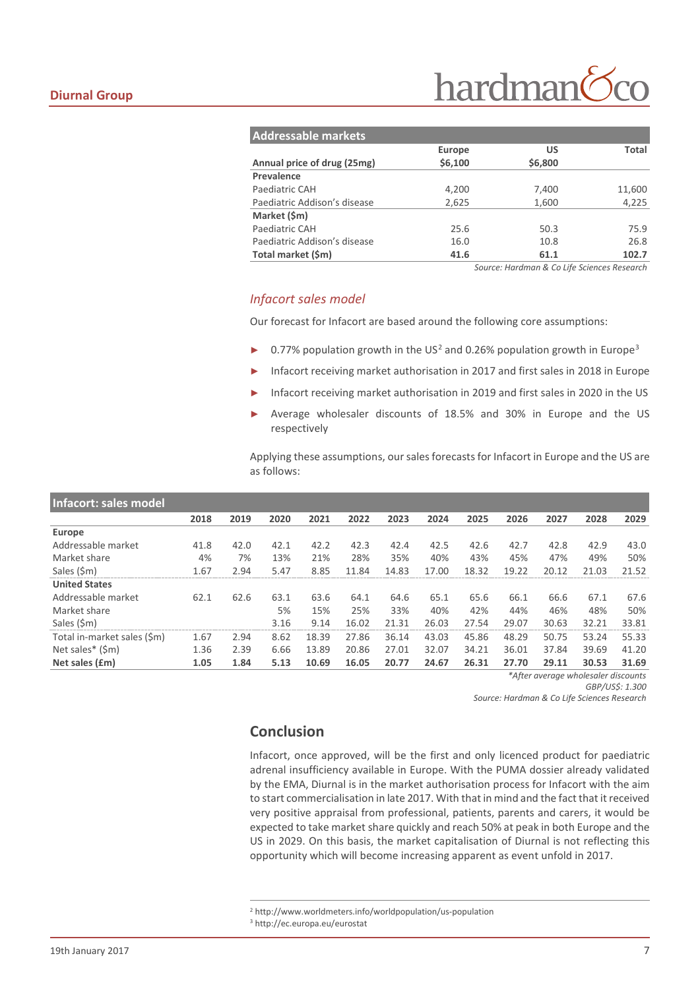| <b>Addressable markets</b>   |         |         |        |  |  |  |  |  |  |
|------------------------------|---------|---------|--------|--|--|--|--|--|--|
|                              | Europe  | US      | Total  |  |  |  |  |  |  |
| Annual price of drug (25mg)  | \$6,100 | \$6,800 |        |  |  |  |  |  |  |
| Prevalence                   |         |         |        |  |  |  |  |  |  |
| Paediatric CAH               | 4,200   | 7,400   | 11,600 |  |  |  |  |  |  |
| Paediatric Addison's disease | 2,625   | 1,600   | 4,225  |  |  |  |  |  |  |
| Market (\$m)                 |         |         |        |  |  |  |  |  |  |
| Paediatric CAH               | 25.6    | 50.3    | 75.9   |  |  |  |  |  |  |
| Paediatric Addison's disease | 16.0    | 10.8    | 26.8   |  |  |  |  |  |  |
| Total market (\$m)           | 41.6    | 61.1    | 102.7  |  |  |  |  |  |  |

*Source: Hardman & Co Life Sciences Research*

#### *Infacort sales model*

Our forecast for Infacort are based around the following core assumptions:

- ▶ 0.77% population growth in the US<sup>[2](#page-6-0)</sup> and 0.26% population growth in Europe<sup>[3](#page-6-1)</sup>
- Infacort receiving market authorisation in 2017 and first sales in 2018 in Europe
- Infacort receiving market authorisation in 2019 and first sales in 2020 in the US
- Average wholesaler discounts of 18.5% and 30% in Europe and the US respectively

Applying these assumptions, our sales forecasts for Infacort in Europe and the US are as follows:

| Infacort: sales model       |      |      |      |       |       |       |       |       |       |       |       |       |
|-----------------------------|------|------|------|-------|-------|-------|-------|-------|-------|-------|-------|-------|
|                             | 2018 | 2019 | 2020 | 2021  | 2022  | 2023  | 2024  | 2025  | 2026  | 2027  | 2028  | 2029  |
| Europe                      |      |      |      |       |       |       |       |       |       |       |       |       |
| Addressable market          | 41.8 | 42.0 | 42.1 | 42.2  | 42.3  | 42.4  | 42.5  | 42.6  | 42.7  | 42.8  | 42.9  | 43.0  |
| Market share                | 4%   | 7%   | 13%  | 21%   | 28%   | 35%   | 40%   | 43%   | 45%   | 47%   | 49%   | 50%   |
| Sales (\$m)                 | 1.67 | 2.94 | 5.47 | 8.85  | 11.84 | 14.83 | 17.00 | 18.32 | 19.22 | 20.12 | 21.03 | 21.52 |
| <b>United States</b>        |      |      |      |       |       |       |       |       |       |       |       |       |
| Addressable market          | 62.1 | 62.6 | 63.1 | 63.6  | 64.1  | 64.6  | 65.1  | 65.6  | 66.1  | 66.6  | 67.1  | 67.6  |
| Market share                |      |      | 5%   | 15%   | 25%   | 33%   | 40%   | 42%   | 44%   | 46%   | 48%   | 50%   |
| Sales (\$m)                 |      |      | 3.16 | 9.14  | 16.02 | 21.31 | 26.03 | 27.54 | 29.07 | 30.63 | 32.21 | 33.81 |
| Total in-market sales (\$m) | 1.67 | 2.94 | 8.62 | 18.39 | 27.86 | 36.14 | 43.03 | 45.86 | 48.29 | 50.75 | 53.24 | 55.33 |
| Net sales* (\$m)            | 1.36 | 2.39 | 6.66 | 13.89 | 20.86 | 27.01 | 32.07 | 34.21 | 36.01 | 37.84 | 39.69 | 41.20 |
| Net sales (£m)              | 1.05 | 1.84 | 5.13 | 10.69 | 16.05 | 20.77 | 24.67 | 26.31 | 27.70 | 29.11 | 30.53 | 31.69 |

*\*After average wholesaler discounts GBP/US\$: 1.300*

*Source: Hardman & Co Life Sciences Research*

## **Conclusion**

Infacort, once approved, will be the first and only licenced product for paediatric adrenal insufficiency available in Europe. With the PUMA dossier already validated by the EMA, Diurnal is in the market authorisation process for Infacort with the aim to start commercialisation in late 2017. With that in mind and the fact that it received very positive appraisal from professional, patients, parents and carers, it would be expected to take market share quickly and reach 50% at peak in both Europe and the US in 2029. On this basis, the market capitalisation of Diurnal is not reflecting this opportunity which will become increasing apparent as event unfold in 2017.

 <sup>2</sup> http://www.worldmeters.info/worldpopulation/us-population

<span id="page-6-1"></span><span id="page-6-0"></span><sup>3</sup> http://ec.europa.eu/eurostat